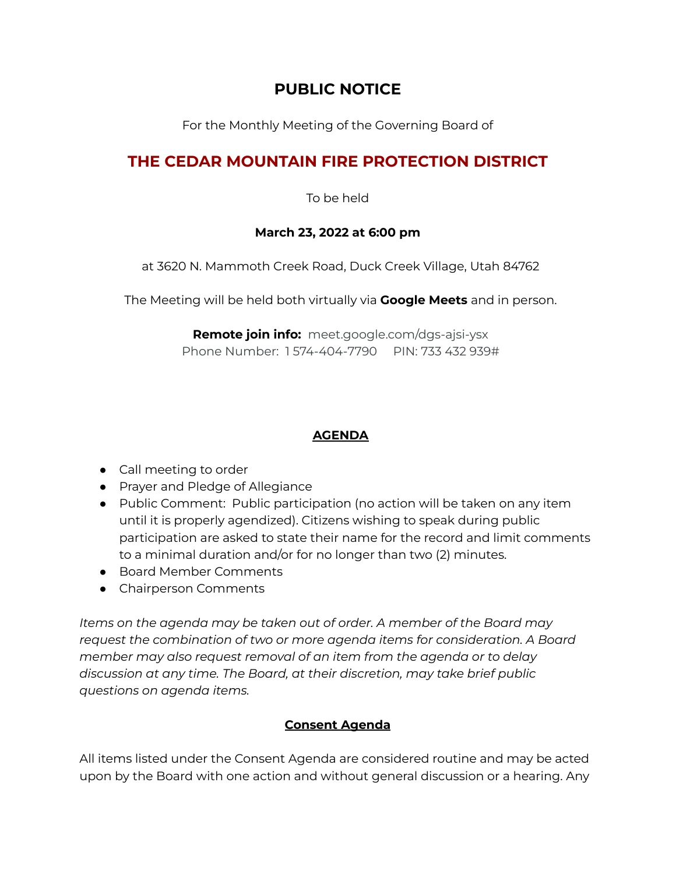## **PUBLIC NOTICE**

For the Monthly Meeting of the Governing Board of

# **THE CEDAR MOUNTAIN FIRE PROTECTION DISTRICT**

To be held

#### **March 23, 2022 at 6:00 pm**

at 3620 N. Mammoth Creek Road, Duck Creek Village, Utah 84762

The Meeting will be held both virtually via **Google Meets** and in person.

**Remote join info:** [meet.google.com/dgs-ajsi-ysx](https://meet.google.com/dgs-ajsi-ysx?hs=122&authuser=0) Phone Number: 1 574-404-7790 PIN: 733 432 939#

### **AGENDA**

- Call meeting to order
- Prayer and Pledge of Allegiance
- Public Comment: Public participation (no action will be taken on any item until it is properly agendized). Citizens wishing to speak during public participation are asked to state their name for the record and limit comments to a minimal duration and/or for no longer than two (2) minutes.
- Board Member Comments
- Chairperson Comments

*Items on the agenda may be taken out of order. A member of the Board may request the combination of two or more agenda items for consideration. A Board member may also request removal of an item from the agenda or to delay discussion at any time. The Board, at their discretion, may take brief public questions on agenda items.*

### **Consent Agenda**

All items listed under the Consent Agenda are considered routine and may be acted upon by the Board with one action and without general discussion or a hearing. Any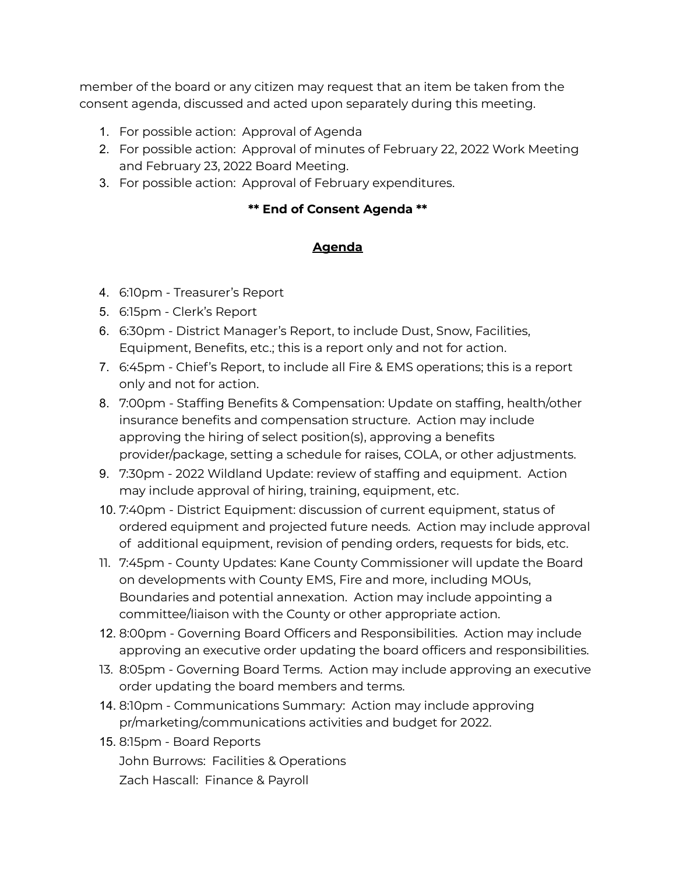member of the board or any citizen may request that an item be taken from the consent agenda, discussed and acted upon separately during this meeting.

- 1. For possible action: Approval of Agenda
- 2. For possible action: Approval of minutes of February 22, 2022 Work Meeting and February 23, 2022 Board Meeting.
- 3. For possible action: Approval of February expenditures.

#### **\*\* End of Consent Agenda \*\***

### **Agenda**

- 4. 6:10pm Treasurer's Report
- 5. 6:15pm Clerk's Report
- 6. 6:30pm District Manager's Report, to include Dust, Snow, Facilities, Equipment, Benefits, etc.; this is a report only and not for action.
- 7. 6:45pm Chief's Report, to include all Fire & EMS operations; this is a report only and not for action.
- 8. 7:00pm Staffing Benefits & Compensation: Update on staffing, health/other insurance benefits and compensation structure. Action may include approving the hiring of select position(s), approving a benefits provider/package, setting a schedule for raises, COLA, or other adjustments.
- 9. 7:30pm 2022 Wildland Update: review of staffing and equipment. Action may include approval of hiring, training, equipment, etc.
- 10. 7:40pm District Equipment: discussion of current equipment, status of ordered equipment and projected future needs. Action may include approval of additional equipment, revision of pending orders, requests for bids, etc.
- 11. 7:45pm County Updates: Kane County Commissioner will update the Board on developments with County EMS, Fire and more, including MOUs, Boundaries and potential annexation. Action may include appointing a committee/liaison with the County or other appropriate action.
- 12. 8:00pm Governing Board Officers and Responsibilities. Action may include approving an executive order updating the board officers and responsibilities.
- 13. 8:05pm Governing Board Terms. Action may include approving an executive order updating the board members and terms.
- 14. 8:10pm Communications Summary: Action may include approving pr/marketing/communications activities and budget for 2022.
- 15. 8:15pm Board Reports John Burrows: Facilities & Operations Zach Hascall: Finance & Payroll